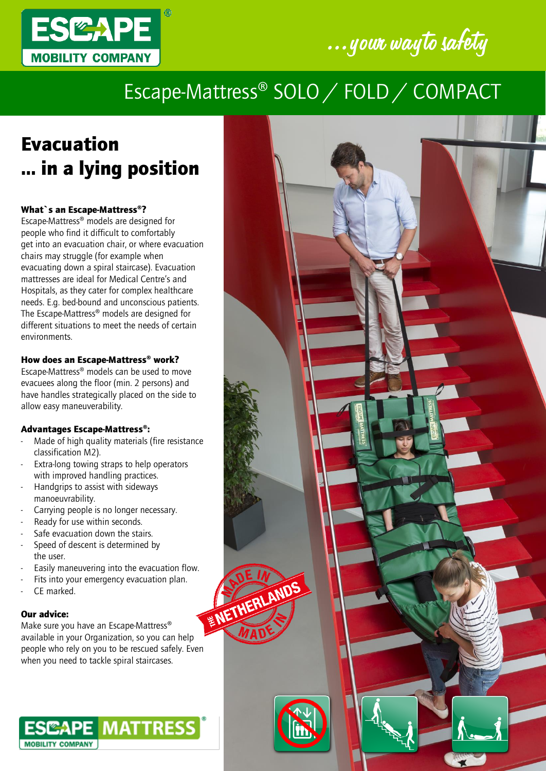



## Escape-Mattress® SOLO / FOLD / COMPACT

# Evacuation … in a lying position

### What`s an Escape-Mattress®?

Escape-Mattress® models are designed for people who find it difficult to comfortably get into an evacuation chair, or where evacuation chairs may struggle (for example when evacuating down a spiral staircase). Evacuation mattresses are ideal for Medical Centre's and Hospitals, as they cater for complex healthcare needs. E.g. bed-bound and unconscious patients. The Escape-Mattress® models are designed for different situations to meet the needs of certain environments.

#### How does an Escape-Mattress® work?

Escape-Mattress® models can be used to move evacuees along the floor (min. 2 persons) and have handles strategically placed on the side to allow easy maneuverability.

#### Advantages Escape-Mattress®:

- Made of high quality materials (fire resistance classification M2).
- Extra-long towing straps to help operators with improved handling practices.
- Handgrips to assist with sideways manoeuvrability.
- Carrying people is no longer necessary.
- Ready for use within seconds.
- Safe evacuation down the stairs.
- Speed of descent is determined by the user.
- 
- Fits into your emergency evacuation plan.
- CF marked.

#### Our advice:

Easily maneuvering into the evacuation flow.<br>Fits into your emergency evacuation plan.<br>CE marked.<br>**The above the sure you have a find the contract of the sure you have a final contract of the sure you have a final contract** Make sure you have an Escape-Mattress® available in your Organization, so you can help people who rely on you to be rescued safely. Even when you need to tackle spiral staircases.